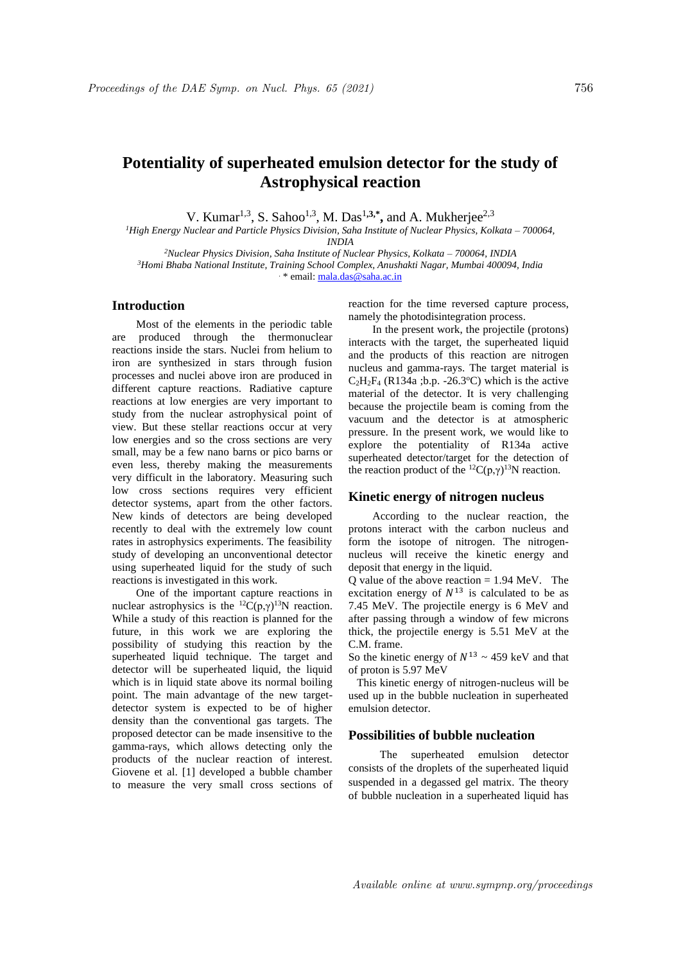# **Potentiality of superheated emulsion detector for the study of Astrophysical reaction**

V. Kumar<sup>1,3</sup>, S. Sahoo<sup>1,3</sup>, M. Das<sup>1,3,\*</sup>, and A. Mukherjee<sup>2,3</sup>

*<sup>1</sup>High Energy Nuclear and Particle Physics Division, Saha Institute of Nuclear Physics, Kolkata – 700064, INDIA* 

*<sup>2</sup>Nuclear Physics Division, Saha Institute of Nuclear Physics, Kolkata – 700064, INDIA <sup>3</sup>Homi Bhaba National Institute, Training School Complex, Anushakti Nagar, Mumbai 400094, India* . \* email: mala.das@saha.ac.in

## **Introduction**

Most of the elements in the periodic table are produced through the thermonuclear reactions inside the stars. Nuclei from helium to iron are synthesized in stars through fusion processes and nuclei above iron are produced in different capture reactions. Radiative capture reactions at low energies are very important to study from the nuclear astrophysical point of view. But these stellar reactions occur at very low energies and so the cross sections are very small, may be a few nano barns or pico barns or even less, thereby making the measurements very difficult in the laboratory. Measuring such low cross sections requires very efficient detector systems, apart from the other factors. New kinds of detectors are being developed recently to deal with the extremely low count rates in astrophysics experiments. The feasibility study of developing an unconventional detector using superheated liquid for the study of such reactions is investigated in this work.

One of the important capture reactions in nuclear astrophysics is the <sup>12</sup>C(p, $\gamma$ )<sup>13</sup>N reaction. While a study of this reaction is planned for the future, in this work we are exploring the possibility of studying this reaction by the superheated liquid technique. The target and detector will be superheated liquid, the liquid which is in liquid state above its normal boiling point. The main advantage of the new targetdetector system is expected to be of higher density than the conventional gas targets. The proposed detector can be made insensitive to the gamma-rays, which allows detecting only the products of the nuclear reaction of interest. Giovene et al. [1] developed a bubble chamber to measure the very small cross sections of

reaction for the time reversed capture process, namely the photodisintegration process.

In the present work, the projectile (protons) interacts with the target, the superheated liquid and the products of this reaction are nitrogen nucleus and gamma-rays. The target material is  $C_2H_2F_4$  (R134a ;b.p. -26.3°C) which is the active material of the detector. It is very challenging because the projectile beam is coming from the vacuum and the detector is at atmospheric pressure. In the present work, we would like to explore the potentiality of R134a active superheated detector/target for the detection of the reaction product of the <sup>12</sup>C(p, $\gamma$ )<sup>13</sup>N reaction.

### **Kinetic energy of nitrogen nucleus**

According to the nuclear reaction, the protons interact with the carbon nucleus and form the isotope of nitrogen. The nitrogennucleus will receive the kinetic energy and deposit that energy in the liquid.

 $\overrightarrow{Q}$  value of the above reaction = 1.94 MeV. The excitation energy of  $N^{13}$  is calculated to be as 7.45 MeV. The projectile energy is 6 MeV and after passing through a window of few microns thick, the projectile energy is 5.51 MeV at the C.M. frame.

So the kinetic energy of  $N^{13} \sim 459$  keV and that of proton is 5.97 MeV

 This kinetic energy of nitrogen-nucleus will be used up in the bubble nucleation in superheated emulsion detector.

### **Possibilities of bubble nucleation**

The superheated emulsion detector consists of the droplets of the superheated liquid suspended in a degassed gel matrix. The theory of bubble nucleation in a superheated liquid has